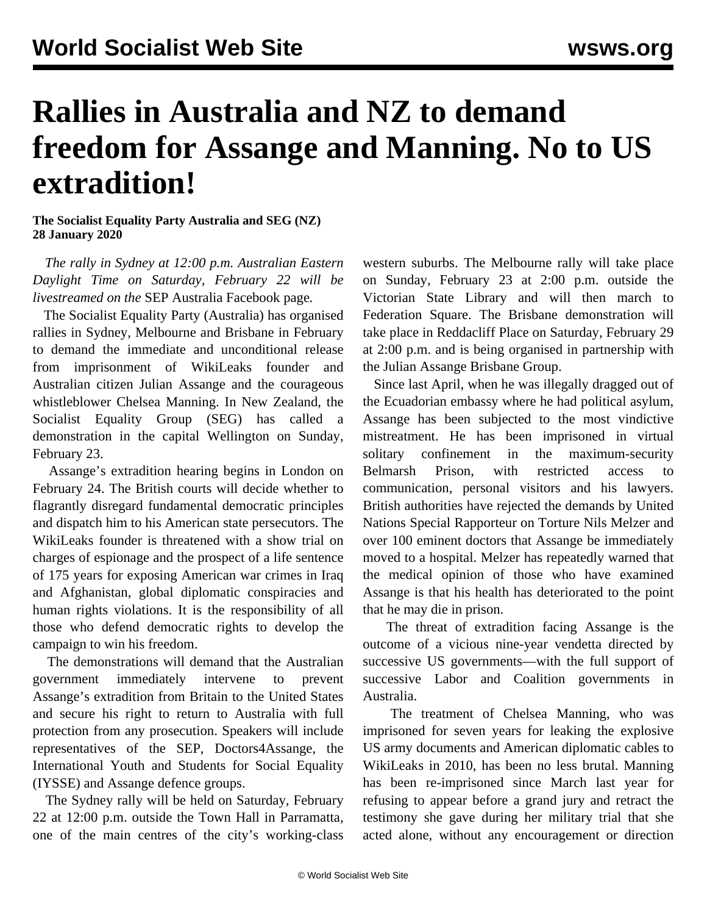## **Rallies in Australia and NZ to demand freedom for Assange and Manning. No to US extradition!**

## **The Socialist Equality Party Australia and SEG (NZ) 28 January 2020**

 *The rally in Sydney at 12:00 p.m. Australian Eastern Daylight Time on Saturday, February 22 will be livestreamed on the* [SEP Australia Facebook page](https://www.facebook.com/SocialistEqualityPartyAustralia/)*.*

 The Socialist Equality Party (Australia) has organised rallies in Sydney, Melbourne and Brisbane in February to demand the immediate and unconditional release from imprisonment of WikiLeaks founder and Australian citizen Julian Assange and the courageous whistleblower Chelsea Manning. In New Zealand, the Socialist Equality Group (SEG) has called a demonstration in the capital Wellington on Sunday, February 23.

 Assange's extradition hearing begins in London on February 24. The British courts will decide whether to flagrantly disregard fundamental democratic principles and dispatch him to his American state persecutors. The WikiLeaks founder is threatened with a show trial on charges of espionage and the prospect of a life sentence of 175 years for exposing American war crimes in Iraq and Afghanistan, global diplomatic conspiracies and human rights violations. It is the responsibility of all those who defend democratic rights to develop the campaign to win his freedom.

 The demonstrations will demand that the Australian government immediately intervene to prevent Assange's extradition from Britain to the United States and secure his right to return to Australia with full protection from any prosecution. Speakers will include representatives of the SEP, Doctors4Assange, the International Youth and Students for Social Equality (IYSSE) and Assange defence groups.

 The Sydney rally will be held on Saturday, February 22 at 12:00 p.m. outside the Town Hall in Parramatta, one of the main centres of the city's working-class

western suburbs. The Melbourne rally will take place on Sunday, February 23 at 2:00 p.m. outside the Victorian State Library and will then march to Federation Square. The Brisbane demonstration will take place in Reddacliff Place on Saturday, February 29 at 2:00 p.m. and is being organised in partnership with the Julian Assange Brisbane Group.

 Since last April, when he was illegally dragged out of the Ecuadorian embassy where he had political asylum, Assange has been subjected to the most vindictive mistreatment. He has been imprisoned in virtual solitary confinement in the maximum-security Belmarsh Prison, with restricted access to communication, personal visitors and his lawyers. British authorities have rejected the demands by United Nations Special Rapporteur on Torture Nils Melzer and over 100 eminent doctors that Assange be immediately moved to a hospital. Melzer has repeatedly warned that the medical opinion of those who have examined Assange is that his health has deteriorated to the point that he may die in prison.

 The threat of extradition facing Assange is the outcome of a vicious nine-year vendetta directed by successive US governments—with the full support of successive Labor and Coalition governments in Australia.

 The treatment of Chelsea Manning, who was imprisoned for seven years for leaking the explosive US army documents and American diplomatic cables to WikiLeaks in 2010, has been no less brutal. Manning has been re-imprisoned since March last year for refusing to appear before a grand jury and retract the testimony she gave during her military trial that she acted alone, without any encouragement or direction